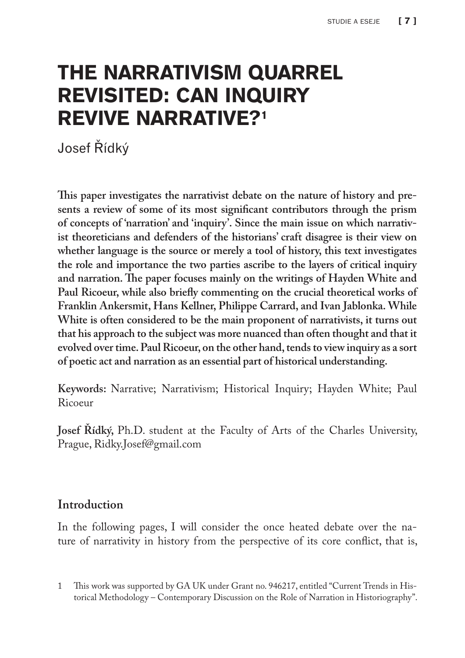# THE NARRATIVISM QUARREL REVISITED: CAN INQUIRY REVIVE NARRATIVE?1

Josef Řídký

**This paper investigates the narrativist debate on the nature of history and presents a review of some of its most significant contributors through the prism of concepts of 'narration' and 'inquiry'. Since the main issue on which narrativist theoreticians and defenders of the historians' craft disagree is their view on whether language is the source or merely a tool of history, this text investigates the role and importance the two parties ascribe to the layers of critical inquiry and narration. The paper focuses mainly on the writings of Hayden White and Paul Ricoeur, while also briefly commenting on the crucial theoretical works of Franklin Ankersmit, Hans Kellner, Philippe Carrard, and Ivan Jablonka. While White is often considered to be the main proponent of narrativists, it turns out that his approach to the subject was more nuanced than often thought and that it evolved over time. Paul Ricoeur, on the other hand, tends to view inquiry as a sort of poetic act and narration as an essential part of historical understanding.**

**Keywords:** Narrative; Narrativism; Historical Inquiry; Hayden White; Paul Ricoeur

**Josef Řídký,** Ph.D. student at the Faculty of Arts of the Charles University, Prague, Ridky.Josef@gmail.com

## **Introduction**

In the following pages, I will consider the once heated debate over the nature of narrativity in history from the perspective of its core conflict, that is,

<sup>1</sup> This work was supported by GA UK under Grant no. 946217, entitled "Current Trends in Historical Methodology – Contemporary Discussion on the Role of Narration in Historiography".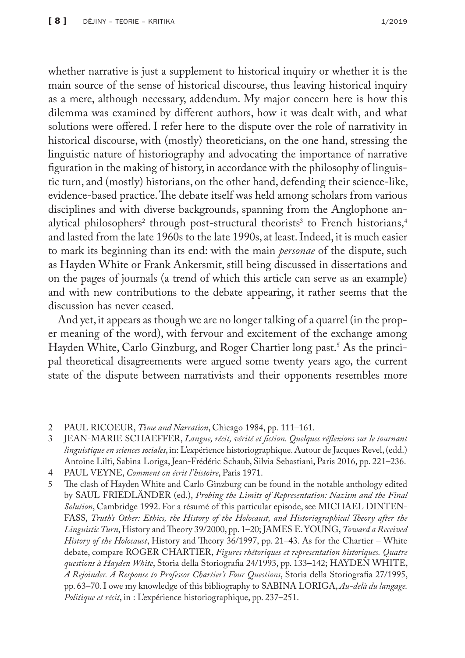whether narrative is just a supplement to historical inquiry or whether it is the main source of the sense of historical discourse, thus leaving historical inquiry as a mere, although necessary, addendum. My major concern here is how this dilemma was examined by different authors, how it was dealt with, and what solutions were offered. I refer here to the dispute over the role of narrativity in historical discourse, with (mostly) theoreticians, on the one hand, stressing the linguistic nature of historiography and advocating the importance of narrative figuration in the making of history, in accordance with the philosophy of linguistic turn, and (mostly) historians, on the other hand, defending their science-like, evidence-based practice. The debate itself was held among scholars from various disciplines and with diverse backgrounds, spanning from the Anglophone analytical philosophers<sup>2</sup> through post-structural theorists<sup>3</sup> to French historians,<sup>4</sup> and lasted from the late 1960s to the late 1990s, at least. Indeed, it is much easier to mark its beginning than its end: with the main *personae* of the dispute, such as Hayden White or Frank Ankersmit, still being discussed in dissertations and on the pages of journals (a trend of which this article can serve as an example) and with new contributions to the debate appearing, it rather seems that the discussion has never ceased.

And yet, it appears as though we are no longer talking of a quarrel (in the proper meaning of the word), with fervour and excitement of the exchange among Hayden White, Carlo Ginzburg, and Roger Chartier long past.<sup>5</sup> As the principal theoretical disagreements were argued some twenty years ago, the current state of the dispute between narrativists and their opponents resembles more

- 3 JEAN-MARIE SCHAEFFER, *Langue, récit, vérité et fiction. Quelques réflexions sur le tournant linguistique en sciences sociales*, in: L'expérience historiographique. Autour de Jacques Revel, (edd.) Antoine Lilti, Sabina Loriga, Jean-Frédéric Schaub, Silvia Sebastiani, Paris 2016, pp. 221–236.
- 4 PAUL VEYNE, *Comment on écrit l'histoire*, Paris 1971.

5 The clash of Hayden White and Carlo Ginzburg can be found in the notable anthology edited by SAUL FRIEDLÄNDER (ed.), *Probing the Limits of Representation: Nazism and the Final Solution*, Cambridge 1992. For a résumé of this particular episode, see MICHAEL DINTEN-FASS, *Truth's Other: Ethics, the History of the Holocaust, and Historiographical Theory after the Linguistic Turn*, History and Theory 39/2000, pp. 1–20; JAMES E. YOUNG, *Toward a Received History of the Holocaust*, History and Theory 36/1997, pp. 21–43. As for the Chartier – White debate, compare ROGER CHARTIER, *Figures rhétoriques et representation historiques. Quatre questions à Hayden White*, Storia della Storiografia 24/1993, pp. 133–142; HAYDEN WHITE, *A Rejoinder. A Response to Professor Chartier's Four Questions*, Storia della Storiografia 27/1995, pp. 63–70. I owe my knowledge of this bibliography to SABINA LORIGA, *Au-delà du langage. Politique et récit*, in : L'expérience historiographique, pp. 237–251.

<sup>2</sup> PAUL RICOEUR, *Time and Narration*, Chicago 1984, pp. 111–161.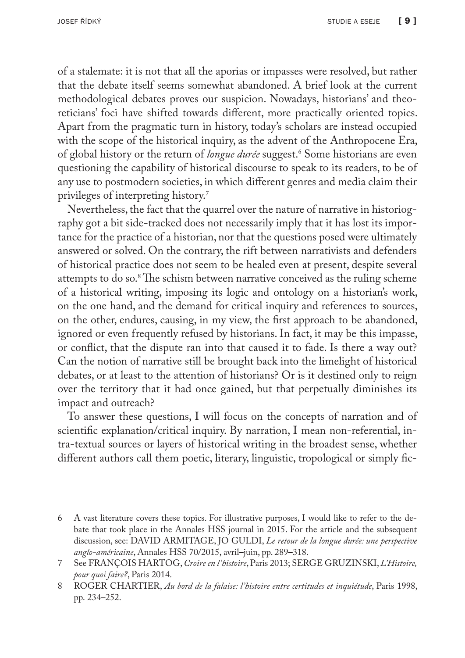of a stalemate: it is not that all the aporias or impasses were resolved, but rather that the debate itself seems somewhat abandoned. A brief look at the current methodological debates proves our suspicion. Nowadays, historians' and theoreticians' foci have shifted towards different, more practically oriented topics. Apart from the pragmatic turn in history, today's scholars are instead occupied with the scope of the historical inquiry, as the advent of the Anthropocene Era, of global history or the return of *longue durée* suggest.6 Some historians are even questioning the capability of historical discourse to speak to its readers, to be of any use to postmodern societies, in which different genres and media claim their privileges of interpreting history.7

Nevertheless, the fact that the quarrel over the nature of narrative in historiography got a bit side-tracked does not necessarily imply that it has lost its importance for the practice of a historian, nor that the questions posed were ultimately answered or solved. On the contrary, the rift between narrativists and defenders of historical practice does not seem to be healed even at present, despite several attempts to do so.<sup>8</sup> The schism between narrative conceived as the ruling scheme of a historical writing, imposing its logic and ontology on a historian's work, on the one hand, and the demand for critical inquiry and references to sources, on the other, endures, causing, in my view, the first approach to be abandoned, ignored or even frequently refused by historians. In fact, it may be this impasse, or conflict, that the dispute ran into that caused it to fade. Is there a way out? Can the notion of narrative still be brought back into the limelight of historical debates, or at least to the attention of historians? Or is it destined only to reign over the territory that it had once gained, but that perpetually diminishes its impact and outreach?

To answer these questions, I will focus on the concepts of narration and of scientific explanation/critical inquiry. By narration, I mean non-referential, intra-textual sources or layers of historical writing in the broadest sense, whether different authors call them poetic, literary, linguistic, tropological or simply fic-

<sup>6</sup> A vast literature covers these topics. For illustrative purposes, I would like to refer to the debate that took place in the Annales HSS journal in 2015. For the article and the subsequent discussion, see: DAVID ARMITAGE, JO GULDI, *Le retour de la longue durée: une perspective anglo-américaine*, Annales HSS 70/2015, avril–juin, pp. 289–318.

<sup>7</sup> See FRANÇOIS HARTOG, *Croire en l'histoire*, Paris 2013; SERGE GRUZINSKI, *L'Histoire, pour quoi faire?*, Paris 2014.

<sup>8</sup> ROGER CHARTIER, *Au bord de la falaise: l'histoire entre certitudes et inquiétude*, Paris 1998, pp. 234–252.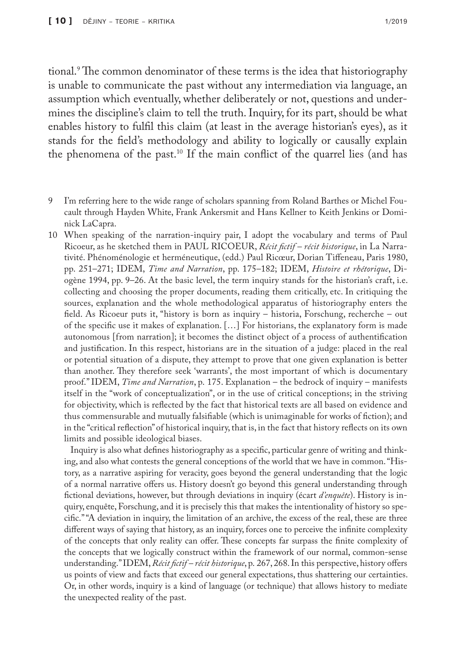tional.9 The common denominator of these terms is the idea that historiography is unable to communicate the past without any intermediation via language, an assumption which eventually, whether deliberately or not, questions and undermines the discipline's claim to tell the truth. Inquiry, for its part, should be what enables history to fulfil this claim (at least in the average historian's eyes), as it stands for the field's methodology and ability to logically or causally explain the phenomena of the past.10 If the main conflict of the quarrel lies (and has

- 9 I'm referring here to the wide range of scholars spanning from Roland Barthes or Michel Foucault through Hayden White, Frank Ankersmit and Hans Kellner to Keith Jenkins or Dominick LaCapra.
- 10 When speaking of the narration-inquiry pair, I adopt the vocabulary and terms of Paul Ricoeur, as he sketched them in PAUL RICOEUR, *Récit fictif – récit historique*, in La Narrativité. Phénoménologie et herméneutique, (edd.) Paul Ricœur, Dorian Tiffeneau, Paris 1980, pp. 251–271; IDEM, *Time and Narration*, pp. 175–182; IDEM, *Histoire et rhétorique*, Diogène 1994, pp. 9–26. At the basic level, the term inquiry stands for the historian's craft, i.e. collecting and choosing the proper documents, reading them critically, etc. In critiquing the sources, explanation and the whole methodological apparatus of historiography enters the field. As Ricoeur puts it, "history is born as inquiry – historia, Forschung, recherche – out of the specific use it makes of explanation. […] For historians, the explanatory form is made autonomous [from narration]; it becomes the distinct object of a process of authentification and justification. In this respect, historians are in the situation of a judge: placed in the real or potential situation of a dispute, they attempt to prove that one given explanation is better than another. They therefore seek 'warrants', the most important of which is documentary proof." IDEM, *Time and Narration*, p. 175. Explanation – the bedrock of inquiry – manifests itself in the "work of conceptualization", or in the use of critical conceptions; in the striving for objectivity, which is reflected by the fact that historical texts are all based on evidence and thus commensurable and mutually falsifiable (which is unimaginable for works of fiction); and in the "critical reflection" of historical inquiry, that is, in the fact that history reflects on its own limits and possible ideological biases.

Inquiry is also what defines historiography as a specific, particular genre of writing and thinking, and also what contests the general conceptions of the world that we have in common. "History, as a narrative aspiring for veracity, goes beyond the general understanding that the logic of a normal narrative offers us. History doesn't go beyond this general understanding through fictional deviations, however, but through deviations in inquiry (écart *d'enquête*). History is inquiry, enquête, Forschung, and it is precisely this that makes the intentionality of history so specific." "A deviation in inquiry, the limitation of an archive, the excess of the real, these are three different ways of saying that history, as an inquiry, forces one to perceive the infinite complexity of the concepts that only reality can offer. These concepts far surpass the finite complexity of the concepts that we logically construct within the framework of our normal, common-sense understanding." IDEM, *Récit fictif – récit historique*, p. 267, 268. In this perspective, history offers us points of view and facts that exceed our general expectations, thus shattering our certainties. Or, in other words, inquiry is a kind of language (or technique) that allows history to mediate the unexpected reality of the past.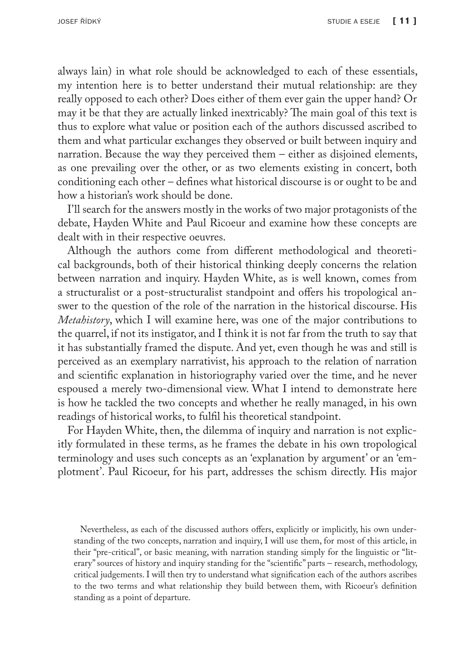always lain) in what role should be acknowledged to each of these essentials, my intention here is to better understand their mutual relationship: are they really opposed to each other? Does either of them ever gain the upper hand? Or may it be that they are actually linked inextricably? The main goal of this text is thus to explore what value or position each of the authors discussed ascribed to them and what particular exchanges they observed or built between inquiry and narration. Because the way they perceived them – either as disjoined elements, as one prevailing over the other, or as two elements existing in concert, both conditioning each other – defines what historical discourse is or ought to be and how a historian's work should be done.

I'll search for the answers mostly in the works of two major protagonists of the debate, Hayden White and Paul Ricoeur and examine how these concepts are dealt with in their respective oeuvres.

Although the authors come from different methodological and theoretical backgrounds, both of their historical thinking deeply concerns the relation between narration and inquiry. Hayden White, as is well known, comes from a structuralist or a post-structuralist standpoint and offers his tropological answer to the question of the role of the narration in the historical discourse. His *Metahistory*, which I will examine here, was one of the major contributions to the quarrel, if not its instigator, and I think it is not far from the truth to say that it has substantially framed the dispute. And yet, even though he was and still is perceived as an exemplary narrativist, his approach to the relation of narration and scientific explanation in historiography varied over the time, and he never espoused a merely two-dimensional view. What I intend to demonstrate here is how he tackled the two concepts and whether he really managed, in his own readings of historical works, to fulfil his theoretical standpoint.

For Hayden White, then, the dilemma of inquiry and narration is not explicitly formulated in these terms, as he frames the debate in his own tropological terminology and uses such concepts as an 'explanation by argument' or an 'emplotment'. Paul Ricoeur, for his part, addresses the schism directly. His major

Nevertheless, as each of the discussed authors offers, explicitly or implicitly, his own understanding of the two concepts, narration and inquiry, I will use them, for most of this article, in their "pre-critical", or basic meaning, with narration standing simply for the linguistic or "literary" sources of history and inquiry standing for the "scientific" parts – research, methodology, critical judgements. I will then try to understand what signification each of the authors ascribes to the two terms and what relationship they build between them, with Ricoeur's definition standing as a point of departure.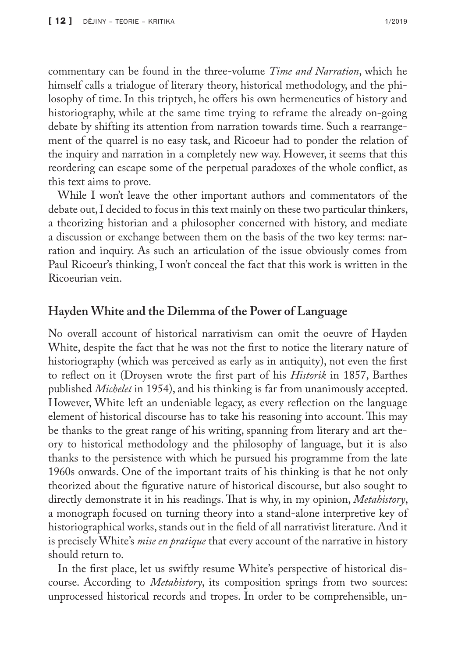commentary can be found in the three-volume *Time and Narration*, which he himself calls a trialogue of literary theory, historical methodology, and the philosophy of time. In this triptych, he offers his own hermeneutics of history and historiography, while at the same time trying to reframe the already on-going debate by shifting its attention from narration towards time. Such a rearrangement of the quarrel is no easy task, and Ricoeur had to ponder the relation of the inquiry and narration in a completely new way. However, it seems that this reordering can escape some of the perpetual paradoxes of the whole conflict, as this text aims to prove.

While I won't leave the other important authors and commentators of the debate out, I decided to focus in this text mainly on these two particular thinkers, a theorizing historian and a philosopher concerned with history, and mediate a discussion or exchange between them on the basis of the two key terms: narration and inquiry. As such an articulation of the issue obviously comes from Paul Ricoeur's thinking, I won't conceal the fact that this work is written in the Ricoeurian vein.

## **Hayden White and the Dilemma of the Power of Language**

No overall account of historical narrativism can omit the oeuvre of Hayden White, despite the fact that he was not the first to notice the literary nature of historiography (which was perceived as early as in antiquity), not even the first to reflect on it (Droysen wrote the first part of his *Historik* in 1857, Barthes published *Michelet* in 1954), and his thinking is far from unanimously accepted. However, White left an undeniable legacy, as every reflection on the language element of historical discourse has to take his reasoning into account. This may be thanks to the great range of his writing, spanning from literary and art theory to historical methodology and the philosophy of language, but it is also thanks to the persistence with which he pursued his programme from the late 1960s onwards. One of the important traits of his thinking is that he not only theorized about the figurative nature of historical discourse, but also sought to directly demonstrate it in his readings. That is why, in my opinion, *Metahistory*, a monograph focused on turning theory into a stand-alone interpretive key of historiographical works, stands out in the field of all narrativist literature. And it is precisely White's *mise en pratique* that every account of the narrative in history should return to.

In the first place, let us swiftly resume White's perspective of historical discourse. According to *Metahistory*, its composition springs from two sources: unprocessed historical records and tropes. In order to be comprehensible, un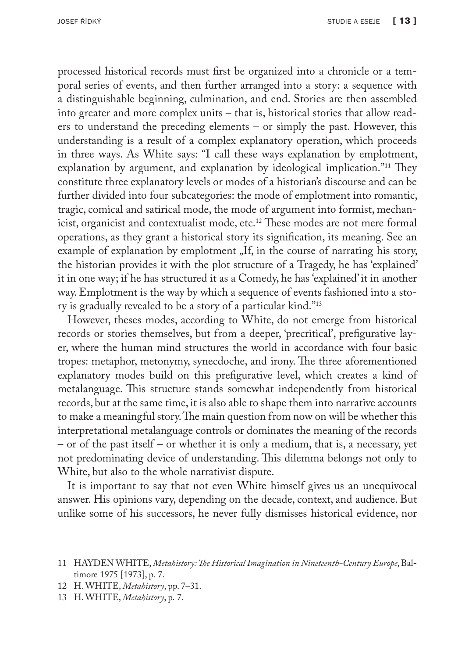processed historical records must first be organized into a chronicle or a temporal series of events, and then further arranged into a story: a sequence with a distinguishable beginning, culmination, and end. Stories are then assembled into greater and more complex units – that is, historical stories that allow readers to understand the preceding elements – or simply the past. However, this understanding is a result of a complex explanatory operation, which proceeds in three ways. As White says: "I call these ways explanation by emplotment, explanation by argument, and explanation by ideological implication."11 They constitute three explanatory levels or modes of a historian's discourse and can be further divided into four subcategories: the mode of emplotment into romantic, tragic, comical and satirical mode, the mode of argument into formist, mechanicist, organicist and contextualist mode, etc.12 These modes are not mere formal operations, as they grant a historical story its signification, its meaning. See an example of explanation by emplotment "If, in the course of narrating his story, the historian provides it with the plot structure of a Tragedy, he has 'explained' it in one way; if he has structured it as a Comedy, he has 'explained' it in another way. Emplotment is the way by which a sequence of events fashioned into a story is gradually revealed to be a story of a particular kind."13

However, theses modes, according to White, do not emerge from historical records or stories themselves, but from a deeper, 'precritical', prefigurative layer, where the human mind structures the world in accordance with four basic tropes: metaphor, metonymy, synecdoche, and irony. The three aforementioned explanatory modes build on this prefigurative level, which creates a kind of metalanguage. This structure stands somewhat independently from historical records, but at the same time, it is also able to shape them into narrative accounts to make a meaningful story. The main question from now on will be whether this interpretational metalanguage controls or dominates the meaning of the records – or of the past itself – or whether it is only a medium, that is, a necessary, yet not predominating device of understanding. This dilemma belongs not only to White, but also to the whole narrativist dispute.

It is important to say that not even White himself gives us an unequivocal answer. His opinions vary, depending on the decade, context, and audience. But unlike some of his successors, he never fully dismisses historical evidence, nor

- 12 H. WHITE, *Metahistory*, pp. 7–31.
- 13 H. WHITE, *Metahistory*, p. 7.

<sup>11</sup> HAYDEN WHITE, *Metahistory: The Historical Imagination in Nineteenth-Century Europe*, Baltimore 1975 [1973], p. 7.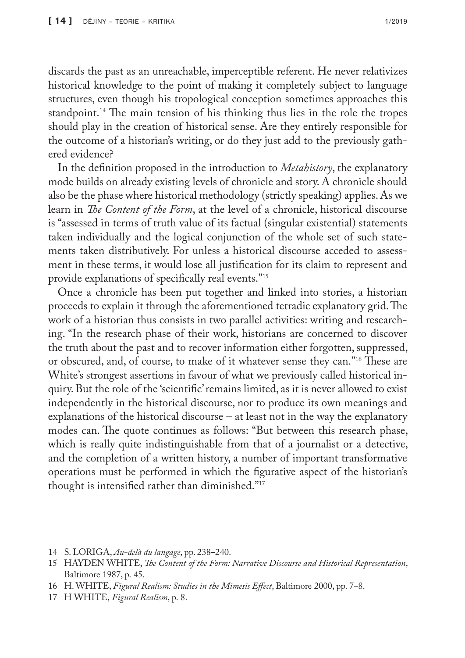discards the past as an unreachable, imperceptible referent. He never relativizes historical knowledge to the point of making it completely subject to language structures, even though his tropological conception sometimes approaches this standpoint.<sup>14</sup> The main tension of his thinking thus lies in the role the tropes should play in the creation of historical sense. Are they entirely responsible for the outcome of a historian's writing, or do they just add to the previously gathered evidence?

In the definition proposed in the introduction to *Metahistory*, the explanatory mode builds on already existing levels of chronicle and story. A chronicle should also be the phase where historical methodology (strictly speaking) applies. As we learn in *The Content of the Form*, at the level of a chronicle, historical discourse is "assessed in terms of truth value of its factual (singular existential) statements taken individually and the logical conjunction of the whole set of such statements taken distributively. For unless a historical discourse acceded to assessment in these terms, it would lose all justification for its claim to represent and provide explanations of specifically real events."15

Once a chronicle has been put together and linked into stories, a historian proceeds to explain it through the aforementioned tetradic explanatory grid. The work of a historian thus consists in two parallel activities: writing and researching. "In the research phase of their work, historians are concerned to discover the truth about the past and to recover information either forgotten, suppressed, or obscured, and, of course, to make of it whatever sense they can."16 These are White's strongest assertions in favour of what we previously called historical inquiry. But the role of the 'scientific' remains limited, as it is never allowed to exist independently in the historical discourse, nor to produce its own meanings and explanations of the historical discourse – at least not in the way the explanatory modes can. The quote continues as follows: "But between this research phase, which is really quite indistinguishable from that of a journalist or a detective, and the completion of a written history, a number of important transformative operations must be performed in which the figurative aspect of the historian's thought is intensified rather than diminished."17

- 14 S. LORIGA, *Au-delà du langage*, pp. 238–240.
- 15 HAYDEN WHITE, *The Content of the Form: Narrative Discourse and Historical Representation*, Baltimore 1987, p. 45.
- 16 H. WHITE, *Figural Realism: Studies in the Mimesis Effect*, Baltimore 2000, pp. 7–8.
- 17 H WHITE, *Figural Realism*, p. 8.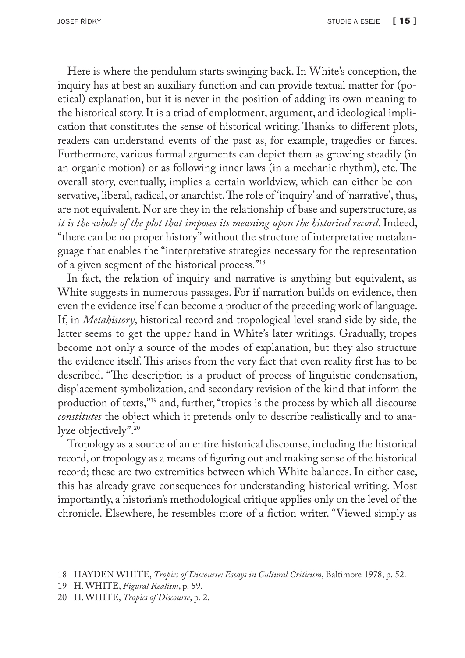Here is where the pendulum starts swinging back. In White's conception, the inquiry has at best an auxiliary function and can provide textual matter for (poetical) explanation, but it is never in the position of adding its own meaning to the historical story. It is a triad of emplotment, argument, and ideological implication that constitutes the sense of historical writing. Thanks to different plots, readers can understand events of the past as, for example, tragedies or farces. Furthermore, various formal arguments can depict them as growing steadily (in an organic motion) or as following inner laws (in a mechanic rhythm), etc. The overall story, eventually, implies a certain worldview, which can either be conservative, liberal, radical, or anarchist. The role of 'inquiry' and of 'narrative', thus, are not equivalent. Nor are they in the relationship of base and superstructure, as *it is the whole of the plot that imposes its meaning upon the historical record*. Indeed, "there can be no proper history" without the structure of interpretative metalanguage that enables the "interpretative strategies necessary for the representation of a given segment of the historical process."18

In fact, the relation of inquiry and narrative is anything but equivalent, as White suggests in numerous passages. For if narration builds on evidence, then even the evidence itself can become a product of the preceding work of language. If, in *Metahistory*, historical record and tropological level stand side by side, the latter seems to get the upper hand in White's later writings. Gradually, tropes become not only a source of the modes of explanation, but they also structure the evidence itself. This arises from the very fact that even reality first has to be described. "The description is a product of process of linguistic condensation, displacement symbolization, and secondary revision of the kind that inform the production of texts,"19 and, further, "tropics is the process by which all discourse *constitutes* the object which it pretends only to describe realistically and to analyze objectively".<sup>20</sup>

Tropology as a source of an entire historical discourse, including the historical record, or tropology as a means of figuring out and making sense of the historical record; these are two extremities between which White balances. In either case, this has already grave consequences for understanding historical writing. Most importantly, a historian's methodological critique applies only on the level of the chronicle. Elsewhere, he resembles more of a fiction writer. "Viewed simply as

<sup>18</sup> HAYDEN WHITE, *Tropics of Discourse: Essays in Cultural Criticism*, Baltimore 1978, p. 52.

<sup>19</sup> H. WHITE, *Figural Realism*, p. 59.

<sup>20</sup> H. WHITE, *Tropics of Discourse*, p. 2.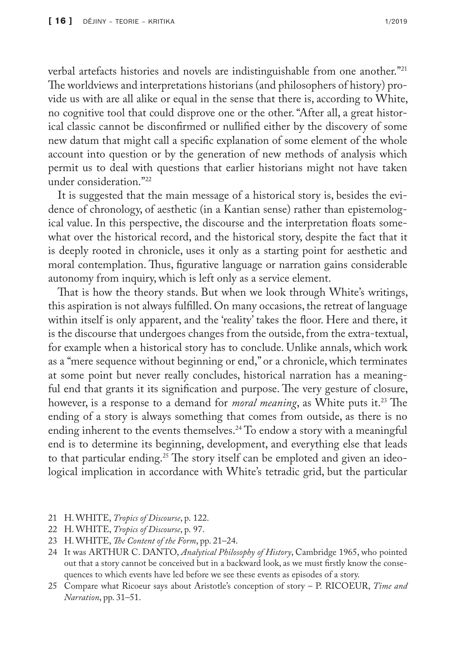verbal artefacts histories and novels are indistinguishable from one another."21 The worldviews and interpretations historians (and philosophers of history) provide us with are all alike or equal in the sense that there is, according to White, no cognitive tool that could disprove one or the other. "After all, a great historical classic cannot be disconfirmed or nullified either by the discovery of some new datum that might call a specific explanation of some element of the whole account into question or by the generation of new methods of analysis which permit us to deal with questions that earlier historians might not have taken under consideration."22

It is suggested that the main message of a historical story is, besides the evidence of chronology, of aesthetic (in a Kantian sense) rather than epistemological value. In this perspective, the discourse and the interpretation floats somewhat over the historical record, and the historical story, despite the fact that it is deeply rooted in chronicle, uses it only as a starting point for aesthetic and moral contemplation. Thus, figurative language or narration gains considerable autonomy from inquiry, which is left only as a service element.

That is how the theory stands. But when we look through White's writings, this aspiration is not always fulfilled. On many occasions, the retreat of language within itself is only apparent, and the 'reality' takes the floor. Here and there, it is the discourse that undergoes changes from the outside, from the extra-textual, for example when a historical story has to conclude. Unlike annals, which work as a "mere sequence without beginning or end," or a chronicle, which terminates at some point but never really concludes, historical narration has a meaningful end that grants it its signification and purpose. The very gesture of closure, however, is a response to a demand for *moral meaning*, as White puts it.<sup>23</sup> The ending of a story is always something that comes from outside, as there is no ending inherent to the events themselves.<sup>24</sup> To endow a story with a meaningful end is to determine its beginning, development, and everything else that leads to that particular ending.<sup>25</sup> The story itself can be emploted and given an ideological implication in accordance with White's tetradic grid, but the particular

- 21 H. WHITE, *Tropics of Discourse*, p. 122.
- 22 H. WHITE, *Tropics of Discourse*, p. 97.
- 23 H. WHITE, *The Content of the Form*, pp. 21–24.
- 24 It was ARTHUR C. DANTO, *Analytical Philosophy of History*, Cambridge 1965, who pointed out that a story cannot be conceived but in a backward look, as we must firstly know the consequences to which events have led before we see these events as episodes of a story.
- 25 Compare what Ricoeur says about Aristotle's conception of story P. RICOEUR, *Time and Narration*, pp. 31–51.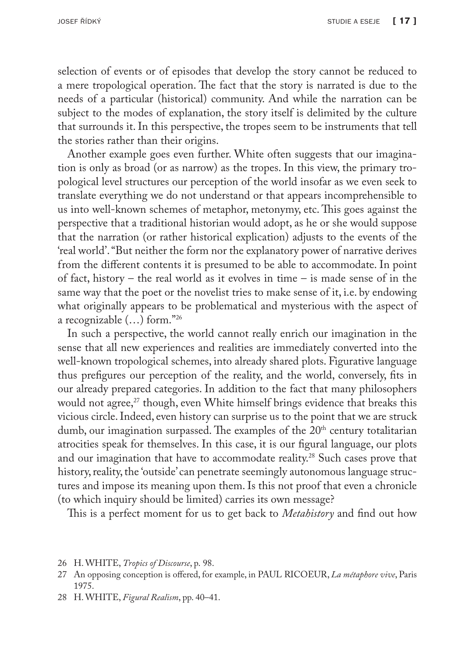selection of events or of episodes that develop the story cannot be reduced to a mere tropological operation. The fact that the story is narrated is due to the needs of a particular (historical) community. And while the narration can be subject to the modes of explanation, the story itself is delimited by the culture that surrounds it. In this perspective, the tropes seem to be instruments that tell the stories rather than their origins.

Another example goes even further. White often suggests that our imagination is only as broad (or as narrow) as the tropes. In this view, the primary tropological level structures our perception of the world insofar as we even seek to translate everything we do not understand or that appears incomprehensible to us into well-known schemes of metaphor, metonymy, etc. This goes against the perspective that a traditional historian would adopt, as he or she would suppose that the narration (or rather historical explication) adjusts to the events of the 'real world'. "But neither the form nor the explanatory power of narrative derives from the different contents it is presumed to be able to accommodate. In point of fact, history – the real world as it evolves in time – is made sense of in the same way that the poet or the novelist tries to make sense of it, i.e. by endowing what originally appears to be problematical and mysterious with the aspect of a recognizable (…) form."26

In such a perspective, the world cannot really enrich our imagination in the sense that all new experiences and realities are immediately converted into the well-known tropological schemes, into already shared plots. Figurative language thus prefigures our perception of the reality, and the world, conversely, fits in our already prepared categories. In addition to the fact that many philosophers would not agree,<sup>27</sup> though, even White himself brings evidence that breaks this vicious circle. Indeed, even history can surprise us to the point that we are struck dumb, our imagination surpassed. The examples of the 20<sup>th</sup> century totalitarian atrocities speak for themselves. In this case, it is our figural language, our plots and our imagination that have to accommodate reality.28 Such cases prove that history, reality, the 'outside' can penetrate seemingly autonomous language structures and impose its meaning upon them. Is this not proof that even a chronicle (to which inquiry should be limited) carries its own message?

This is a perfect moment for us to get back to *Metahistory* and find out how

26 H. WHITE, *Tropics of Discourse*, p. 98.

28 H. WHITE, *Figural Realism*, pp. 40–41.

<sup>27</sup> An opposing conception is offered, for example, in PAUL RICOEUR, *La métaphore vive*, Paris 1975.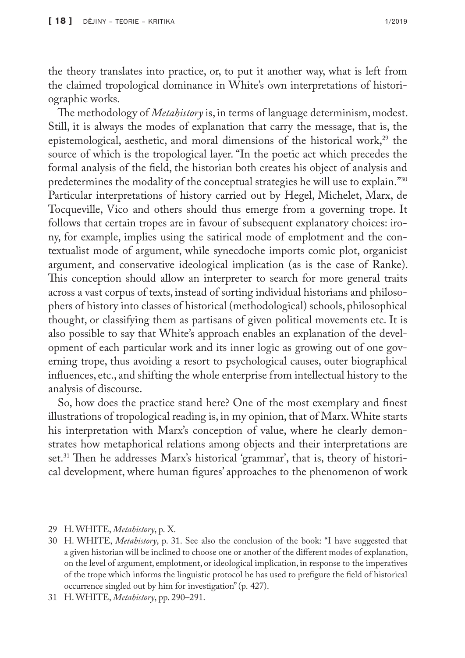the theory translates into practice, or, to put it another way, what is left from the claimed tropological dominance in White's own interpretations of historiographic works.

The methodology of *Metahistory* is, in terms of language determinism, modest. Still, it is always the modes of explanation that carry the message, that is, the epistemological, aesthetic, and moral dimensions of the historical work, $2^9$  the source of which is the tropological layer. "In the poetic act which precedes the formal analysis of the field, the historian both creates his object of analysis and predetermines the modality of the conceptual strategies he will use to explain."30 Particular interpretations of history carried out by Hegel, Michelet, Marx, de Tocqueville, Vico and others should thus emerge from a governing trope. It follows that certain tropes are in favour of subsequent explanatory choices: irony, for example, implies using the satirical mode of emplotment and the contextualist mode of argument, while synecdoche imports comic plot, organicist argument, and conservative ideological implication (as is the case of Ranke). This conception should allow an interpreter to search for more general traits across a vast corpus of texts, instead of sorting individual historians and philosophers of history into classes of historical (methodological) schools, philosophical thought, or classifying them as partisans of given political movements etc. It is also possible to say that White's approach enables an explanation of the development of each particular work and its inner logic as growing out of one governing trope, thus avoiding a resort to psychological causes, outer biographical influences, etc., and shifting the whole enterprise from intellectual history to the analysis of discourse.

So, how does the practice stand here? One of the most exemplary and finest illustrations of tropological reading is, in my opinion, that of Marx. White starts his interpretation with Marx's conception of value, where he clearly demonstrates how metaphorical relations among objects and their interpretations are set.<sup>31</sup> Then he addresses Marx's historical 'grammar', that is, theory of historical development, where human figures' approaches to the phenomenon of work

29 H. WHITE, *Metahistory*, p. X.

30 H. WHITE, *Metahistory*, p. 31. See also the conclusion of the book: "I have suggested that a given historian will be inclined to choose one or another of the different modes of explanation, on the level of argument, emplotment, or ideological implication, in response to the imperatives of the trope which informs the linguistic protocol he has used to prefigure the field of historical occurrence singled out by him for investigation" (p. 427).

<sup>31</sup> H. WHITE, *Metahistory*, pp. 290–291.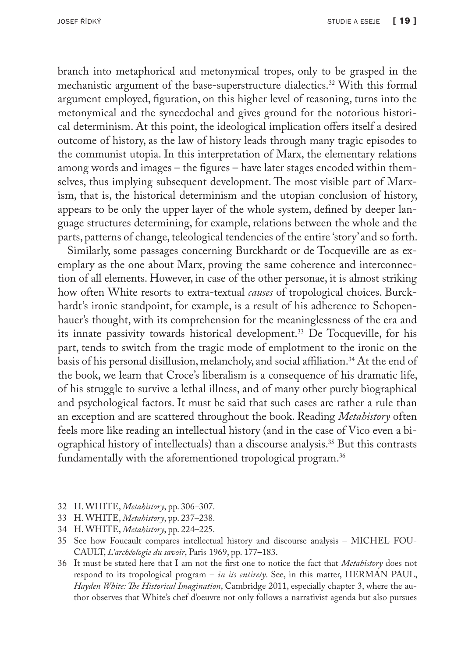branch into metaphorical and metonymical tropes, only to be grasped in the mechanistic argument of the base-superstructure dialectics.32 With this formal argument employed, figuration, on this higher level of reasoning, turns into the metonymical and the synecdochal and gives ground for the notorious historical determinism. At this point, the ideological implication offers itself a desired outcome of history, as the law of history leads through many tragic episodes to the communist utopia. In this interpretation of Marx, the elementary relations among words and images – the figures – have later stages encoded within themselves, thus implying subsequent development. The most visible part of Marxism, that is, the historical determinism and the utopian conclusion of history, appears to be only the upper layer of the whole system, defined by deeper language structures determining, for example, relations between the whole and the parts, patterns of change, teleological tendencies of the entire 'story' and so forth.

Similarly, some passages concerning Burckhardt or de Tocqueville are as exemplary as the one about Marx, proving the same coherence and interconnection of all elements. However, in case of the other personae, it is almost striking how often White resorts to extra-textual *causes* of tropological choices. Burckhardt's ironic standpoint, for example, is a result of his adherence to Schopenhauer's thought, with its comprehension for the meaninglessness of the era and its innate passivity towards historical development.33 De Tocqueville, for his part, tends to switch from the tragic mode of emplotment to the ironic on the basis of his personal disillusion, melancholy, and social affiliation.<sup>34</sup> At the end of the book, we learn that Croce's liberalism is a consequence of his dramatic life, of his struggle to survive a lethal illness, and of many other purely biographical and psychological factors. It must be said that such cases are rather a rule than an exception and are scattered throughout the book. Reading *Metahistory* often feels more like reading an intellectual history (and in the case of Vico even a biographical history of intellectuals) than a discourse analysis.35 But this contrasts fundamentally with the aforementioned tropological program.<sup>36</sup>

- 32 H. WHITE, *Metahistory*, pp. 306–307.
- 33 H. WHITE, *Metahistory*, pp. 237–238.
- 34 H. WHITE, *Metahistory*, pp. 224–225.
- 35 See how Foucault compares intellectual history and discourse analysis MICHEL FOU-CAULT, *L'archéologie du savoir*, Paris 1969, pp. 177–183.
- 36 It must be stated here that I am not the first one to notice the fact that *Metahistory* does not respond to its tropological program – *in its entirety*. See, in this matter, HERMAN PAUL, *Hayden White: The Historical Imagination*, Cambridge 2011, especially chapter 3, where the author observes that White's chef d'oeuvre not only follows a narrativist agenda but also pursues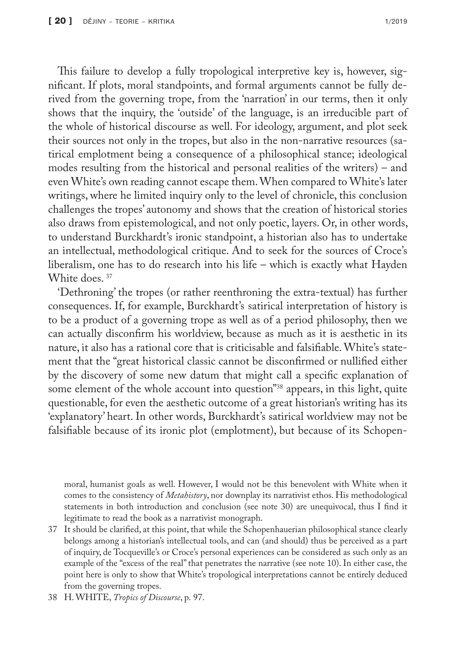This failure to develop a fully tropological interpretive key is, however, significant. If plots, moral standpoints, and formal arguments cannot be fully derived from the governing trope, from the 'narration' in our terms, then it only shows that the inquiry, the 'outside' of the language, is an irreducible part of the whole of historical discourse as well. For ideology, argument, and plot seek their sources not only in the tropes, but also in the non-narrative resources (satirical emplotment being a consequence of a philosophical stance; ideological modes resulting from the historical and personal realities of the writers) – and even White's own reading cannot escape them. When compared to White's later writings, where he limited inquiry only to the level of chronicle, this conclusion challenges the tropes' autonomy and shows that the creation of historical stories also draws from epistemological, and not only poetic, layers. Or, in other words, to understand Burckhardt's ironic standpoint, a historian also has to undertake an intellectual, methodological critique. And to seek for the sources of Croce's liberalism, one has to do research into his life – which is exactly what Hayden White does.<sup>37</sup>

'Dethroning' the tropes (or rather reenthroning the extra-textual) has further consequences. If, for example, Burckhardt's satirical interpretation of history is to be a product of a governing trope as well as of a period philosophy, then we can actually disconfirm his worldview, because as much as it is aesthetic in its nature, it also has a rational core that is criticisable and falsifiable. White's statement that the "great historical classic cannot be disconfirmed or nullified either by the discovery of some new datum that might call a specific explanation of some element of the whole account into question"<sup>38</sup> appears, in this light, quite questionable, for even the aesthetic outcome of a great historian's writing has its 'explanatory' heart. In other words, Burckhardt's satirical worldview may not be falsifiable because of its ironic plot (emplotment), but because of its Schopen-

moral, humanist goals as well. However, I would not be this benevolent with White when it comes to the consistency of *Metahistory*, nor downplay its narrativist ethos. His methodological statements in both introduction and conclusion (see note 30) are unequivocal, thus I find it legitimate to read the book as a narrativist monograph.

- 37 It should be clarified, at this point, that while the Schopenhauerian philosophical stance clearly belongs among a historian's intellectual tools, and can (and should) thus be perceived as a part of inquiry, de Tocqueville's or Croce's personal experiences can be considered as such only as an example of the "excess of the real" that penetrates the narrative (see note 10). In either case, the point here is only to show that White's tropological interpretations cannot be entirely deduced from the governing tropes.
- 38 H. WHITE, *Tropics of Discourse*, p. 97.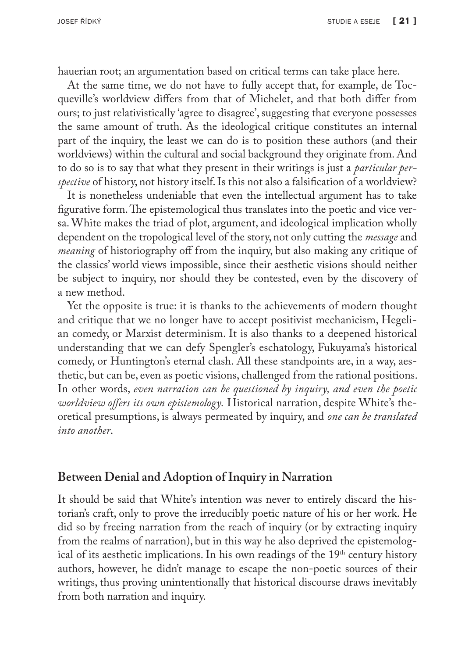hauerian root; an argumentation based on critical terms can take place here.

At the same time, we do not have to fully accept that, for example, de Tocqueville's worldview differs from that of Michelet, and that both differ from ours; to just relativistically 'agree to disagree', suggesting that everyone possesses the same amount of truth. As the ideological critique constitutes an internal part of the inquiry, the least we can do is to position these authors (and their worldviews) within the cultural and social background they originate from. And to do so is to say that what they present in their writings is just a *particular perspective* of history, not history itself. Is this not also a falsification of a worldview?

It is nonetheless undeniable that even the intellectual argument has to take figurative form. The epistemological thus translates into the poetic and vice versa. White makes the triad of plot, argument, and ideological implication wholly dependent on the tropological level of the story, not only cutting the *message* and *meaning* of historiography off from the inquiry, but also making any critique of the classics' world views impossible, since their aesthetic visions should neither be subject to inquiry, nor should they be contested, even by the discovery of a new method.

Yet the opposite is true: it is thanks to the achievements of modern thought and critique that we no longer have to accept positivist mechanicism, Hegelian comedy, or Marxist determinism. It is also thanks to a deepened historical understanding that we can defy Spengler's eschatology, Fukuyama's historical comedy, or Huntington's eternal clash. All these standpoints are, in a way, aesthetic, but can be, even as poetic visions, challenged from the rational positions. In other words, *even narration can be questioned by inquiry, and even the poetic worldview offers its own epistemology.* Historical narration, despite White's theoretical presumptions, is always permeated by inquiry, and *one can be translated into another*.

## **Between Denial and Adoption of Inquiry in Narration**

It should be said that White's intention was never to entirely discard the historian's craft, only to prove the irreducibly poetic nature of his or her work. He did so by freeing narration from the reach of inquiry (or by extracting inquiry from the realms of narration), but in this way he also deprived the epistemological of its aesthetic implications. In his own readings of the 19<sup>th</sup> century history authors, however, he didn't manage to escape the non-poetic sources of their writings, thus proving unintentionally that historical discourse draws inevitably from both narration and inquiry.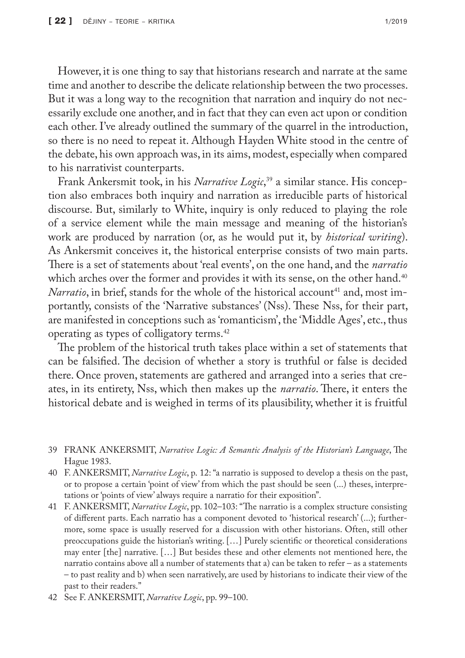However, it is one thing to say that historians research and narrate at the same time and another to describe the delicate relationship between the two processes. But it was a long way to the recognition that narration and inquiry do not necessarily exclude one another, and in fact that they can even act upon or condition each other. I've already outlined the summary of the quarrel in the introduction, so there is no need to repeat it. Although Hayden White stood in the centre of the debate, his own approach was, in its aims, modest, especially when compared to his narrativist counterparts.

Frank Ankersmit took, in his *Narrative Logic*, 39 a similar stance. His conception also embraces both inquiry and narration as irreducible parts of historical discourse. But, similarly to White, inquiry is only reduced to playing the role of a service element while the main message and meaning of the historian's work are produced by narration (or, as he would put it, by *historical writing*). As Ankersmit conceives it, the historical enterprise consists of two main parts. There is a set of statements about 'real events', on the one hand, and the *narratio* which arches over the former and provides it with its sense, on the other hand.<sup>40</sup> *Narratio*, in brief, stands for the whole of the historical account<sup>41</sup> and, most importantly, consists of the 'Narrative substances' (Nss). These Nss, for their part, are manifested in conceptions such as 'romanticism', the 'Middle Ages', etc., thus operating as types of colligatory terms.42

The problem of the historical truth takes place within a set of statements that can be falsified. The decision of whether a story is truthful or false is decided there. Once proven, statements are gathered and arranged into a series that creates, in its entirety, Nss, which then makes up the *narratio*. There, it enters the historical debate and is weighed in terms of its plausibility, whether it is fruitful

- 39 FRANK ANKERSMIT, *Narrative Logic: A Semantic Analysis of the Historian's Language*, The Hague 1983.
- 40 F. ANKERSMIT, *Narrative Logic*, p. 12: "a narratio is supposed to develop a thesis on the past, or to propose a certain 'point of view' from which the past should be seen (...) theses, interpretations or 'points of view' always require a narratio for their exposition".
- 41 F. ANKERSMIT, *Narrative Logic*, pp. 102–103: "The narratio is a complex structure consisting of different parts. Each narratio has a component devoted to 'historical research' (...); furthermore, some space is usually reserved for a discussion with other historians. Often, still other preoccupations guide the historian's writing. […] Purely scientific or theoretical considerations may enter [the] narrative. […] But besides these and other elements not mentioned here, the narratio contains above all a number of statements that a) can be taken to refer – as a statements – to past reality and b) when seen narratively, are used by historians to indicate their view of the past to their readers."
- 42 See F. ANKERSMIT, *Narrative Logic*, pp. 99–100.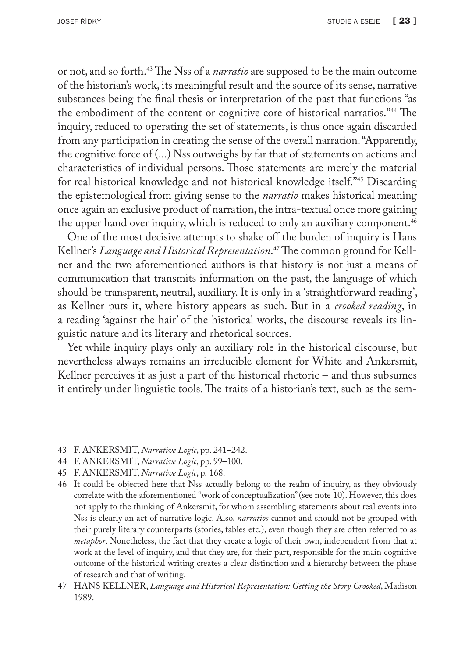or not, and so forth.43 The Nss of a *narratio* are supposed to be the main outcome of the historian's work, its meaningful result and the source of its sense, narrative substances being the final thesis or interpretation of the past that functions "as the embodiment of the content or cognitive core of historical narratios."44 The inquiry, reduced to operating the set of statements, is thus once again discarded from any participation in creating the sense of the overall narration. "Apparently, the cognitive force of (...) Nss outweighs by far that of statements on actions and characteristics of individual persons. Those statements are merely the material for real historical knowledge and not historical knowledge itself."45 Discarding the epistemological from giving sense to the *narratio* makes historical meaning once again an exclusive product of narration, the intra-textual once more gaining the upper hand over inquiry, which is reduced to only an auxiliary component.<sup>46</sup>

One of the most decisive attempts to shake off the burden of inquiry is Hans Kellner's *Language and Historical Representation*. 47 The common ground for Kellner and the two aforementioned authors is that history is not just a means of communication that transmits information on the past, the language of which should be transparent, neutral, auxiliary. It is only in a 'straightforward reading', as Kellner puts it, where history appears as such. But in a *crooked reading*, in a reading 'against the hair' of the historical works, the discourse reveals its linguistic nature and its literary and rhetorical sources.

Yet while inquiry plays only an auxiliary role in the historical discourse, but nevertheless always remains an irreducible element for White and Ankersmit, Kellner perceives it as just a part of the historical rhetoric – and thus subsumes it entirely under linguistic tools. The traits of a historian's text, such as the sem-

- 43 F. ANKERSMIT, *Narrative Logic*, pp. 241–242.
- 44 F. ANKERSMIT, *Narrative Logic*, pp. 99–100.
- 45 F. ANKERSMIT, *Narrative Logic*, p. 168.
- 46 It could be objected here that Nss actually belong to the realm of inquiry, as they obviously correlate with the aforementioned "work of conceptualization" (see note 10). However, this does not apply to the thinking of Ankersmit, for whom assembling statements about real events into Nss is clearly an act of narrative logic. Also, *narratios* cannot and should not be grouped with their purely literary counterparts (stories, fables etc.), even though they are often referred to as *metaphor*. Nonetheless, the fact that they create a logic of their own, independent from that at work at the level of inquiry, and that they are, for their part, responsible for the main cognitive outcome of the historical writing creates a clear distinction and a hierarchy between the phase of research and that of writing.
- 47 HANS KELLNER, *Language and Historical Representation: Getting the Story Crooked*, Madison 1989.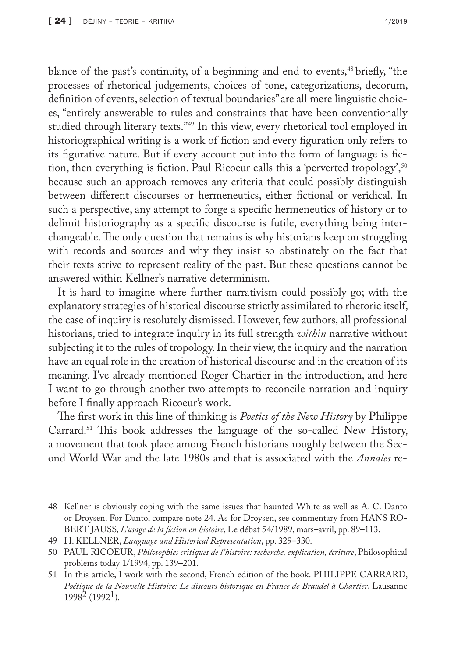blance of the past's continuity, of a beginning and end to events,<sup>48</sup> briefly, "the processes of rhetorical judgements, choices of tone, categorizations, decorum, definition of events, selection of textual boundaries" are all mere linguistic choices, "entirely answerable to rules and constraints that have been conventionally studied through literary texts."49 In this view, every rhetorical tool employed in historiographical writing is a work of fiction and every figuration only refers to its figurative nature. But if every account put into the form of language is fiction, then everything is fiction. Paul Ricoeur calls this a 'perverted tropology',<sup>50</sup> because such an approach removes any criteria that could possibly distinguish between different discourses or hermeneutics, either fictional or veridical. In such a perspective, any attempt to forge a specific hermeneutics of history or to delimit historiography as a specific discourse is futile, everything being interchangeable. The only question that remains is why historians keep on struggling with records and sources and why they insist so obstinately on the fact that their texts strive to represent reality of the past. But these questions cannot be answered within Kellner's narrative determinism.

It is hard to imagine where further narrativism could possibly go; with the explanatory strategies of historical discourse strictly assimilated to rhetoric itself, the case of inquiry is resolutely dismissed. However, few authors, all professional historians, tried to integrate inquiry in its full strength *within* narrative without subjecting it to the rules of tropology. In their view, the inquiry and the narration have an equal role in the creation of historical discourse and in the creation of its meaning. I've already mentioned Roger Chartier in the introduction, and here I want to go through another two attempts to reconcile narration and inquiry before I finally approach Ricoeur's work.

The first work in this line of thinking is *Poetics of the New History* by Philippe Carrard.51 This book addresses the language of the so-called New History, a movement that took place among French historians roughly between the Second World War and the late 1980s and that is associated with the *Annales* re-

- 49 H. KELLNER, *Language and Historical Representation*, pp. 329–330.
- 50 PAUL RICOEUR, *Philosophies critiques de l'histoire: recherche, explication, écriture*, Philosophical problems today 1/1994, pp. 139–201.
- 51 In this article, I work with the second, French edition of the book. PHILIPPE CARRARD, *Poétique de la Nouvelle Histoire: Le discours historique en France de Braudel à Chartier*, Lausanne 19982 (19921).

<sup>48</sup> Kellner is obviously coping with the same issues that haunted White as well as A. C. Danto or Droysen. For Danto, compare note 24. As for Droysen, see commentary from HANS RO-BERT JAUSS, *L'usage de la fiction en histoire*, Le débat 54/1989, mars–avril, pp. 89–113.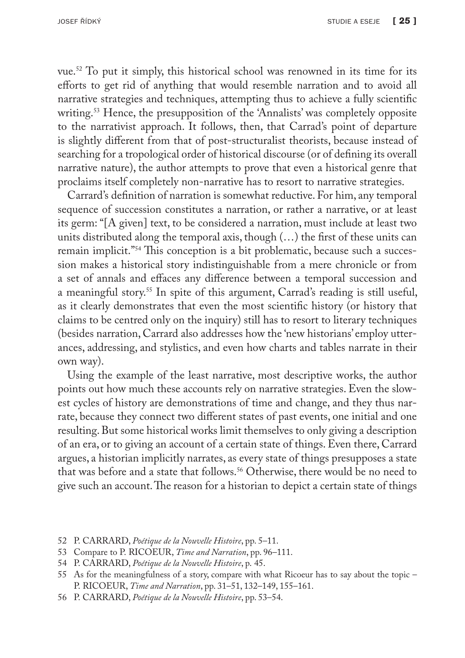vue.52 To put it simply, this historical school was renowned in its time for its efforts to get rid of anything that would resemble narration and to avoid all narrative strategies and techniques, attempting thus to achieve a fully scientific writing.53 Hence, the presupposition of the 'Annalists' was completely opposite to the narrativist approach. It follows, then, that Carrad's point of departure is slightly different from that of post-structuralist theorists, because instead of searching for a tropological order of historical discourse (or of defining its overall narrative nature), the author attempts to prove that even a historical genre that proclaims itself completely non-narrative has to resort to narrative strategies.

Carrard's definition of narration is somewhat reductive. For him, any temporal sequence of succession constitutes a narration, or rather a narrative, or at least its germ: "[A given] text, to be considered a narration, must include at least two units distributed along the temporal axis, though (…) the first of these units can remain implicit."54 This conception is a bit problematic, because such a succession makes a historical story indistinguishable from a mere chronicle or from a set of annals and effaces any difference between a temporal succession and a meaningful story.55 In spite of this argument, Carrad's reading is still useful, as it clearly demonstrates that even the most scientific history (or history that claims to be centred only on the inquiry) still has to resort to literary techniques (besides narration, Carrard also addresses how the 'new historians' employ utterances, addressing, and stylistics, and even how charts and tables narrate in their own way).

Using the example of the least narrative, most descriptive works, the author points out how much these accounts rely on narrative strategies. Even the slowest cycles of history are demonstrations of time and change, and they thus narrate, because they connect two different states of past events, one initial and one resulting. But some historical works limit themselves to only giving a description of an era, or to giving an account of a certain state of things. Even there, Carrard argues, a historian implicitly narrates, as every state of things presupposes a state that was before and a state that follows.<sup>56</sup> Otherwise, there would be no need to give such an account. The reason for a historian to depict a certain state of things

53 Compare to P. RICOEUR, *Time and Narration*, pp. 96–111.

56 P. CARRARD, *Poétique de la Nouvelle Histoire*, pp. 53–54.

<sup>52</sup> P. CARRARD, *Poétique de la Nouvelle Histoire*, pp. 5–11.

<sup>54</sup> P. CARRARD, *Poétique de la Nouvelle Histoire*, p. 45.

<sup>55</sup> As for the meaningfulness of a story, compare with what Ricoeur has to say about the topic – P. RICOEUR, *Time and Narration*, pp. 31–51, 132–149, 155–161.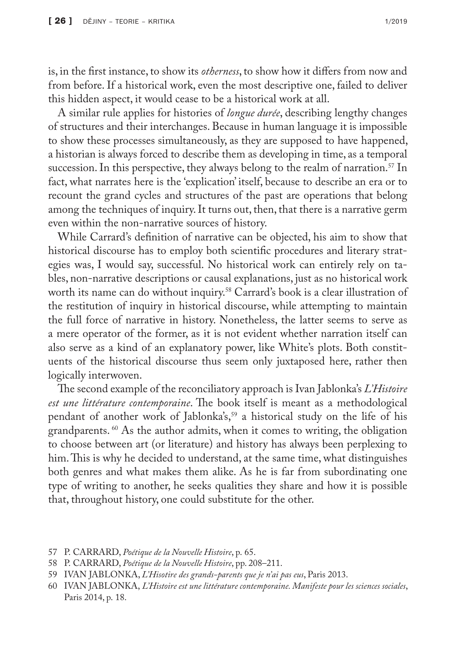is, in the first instance, to show its *otherness*, to show how it differs from now and from before. If a historical work, even the most descriptive one, failed to deliver this hidden aspect, it would cease to be a historical work at all.

A similar rule applies for histories of *longue durée*, describing lengthy changes of structures and their interchanges. Because in human language it is impossible to show these processes simultaneously, as they are supposed to have happened, a historian is always forced to describe them as developing in time, as a temporal succession. In this perspective, they always belong to the realm of narration.<sup>57</sup> In fact, what narrates here is the 'explication' itself, because to describe an era or to recount the grand cycles and structures of the past are operations that belong among the techniques of inquiry. It turns out, then, that there is a narrative germ even within the non-narrative sources of history.

While Carrard's definition of narrative can be objected, his aim to show that historical discourse has to employ both scientific procedures and literary strategies was, I would say, successful. No historical work can entirely rely on tables, non-narrative descriptions or causal explanations, just as no historical work worth its name can do without inquiry.<sup>58</sup> Carrard's book is a clear illustration of the restitution of inquiry in historical discourse, while attempting to maintain the full force of narrative in history. Nonetheless, the latter seems to serve as a mere operator of the former, as it is not evident whether narration itself can also serve as a kind of an explanatory power, like White's plots. Both constituents of the historical discourse thus seem only juxtaposed here, rather then logically interwoven.

The second example of the reconciliatory approach is Ivan Jablonka's *L'Histoire est une littérature contemporaine*. The book itself is meant as a methodological pendant of another work of Jablonka's,<sup>59</sup> a historical study on the life of his grandparents. 60 As the author admits, when it comes to writing, the obligation to choose between art (or literature) and history has always been perplexing to him. This is why he decided to understand, at the same time, what distinguishes both genres and what makes them alike. As he is far from subordinating one type of writing to another, he seeks qualities they share and how it is possible that, throughout history, one could substitute for the other.

<sup>57</sup> P. CARRARD, *Poétique de la Nouvelle Histoire*, p. 65.

<sup>58</sup> P. CARRARD, *Poétique de la Nouvelle Histoire*, pp. 208–211.

<sup>59</sup> IVAN JABLONKA, *L'Hisotire des grands-parents que je n'ai pas eus*, Paris 2013.

<sup>60</sup> IVAN JABLONKA, *L'Histoire est une littérature contemporaine. Manifeste pour les sciences sociales*, Paris 2014, p. 18.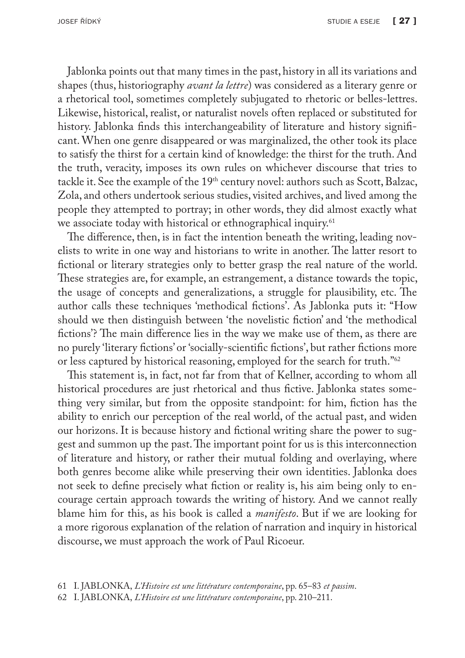Jablonka points out that many times in the past, history in all its variations and shapes (thus, historiography *avant la lettre*) was considered as a literary genre or a rhetorical tool, sometimes completely subjugated to rhetoric or belles-lettres. Likewise, historical, realist, or naturalist novels often replaced or substituted for history. Jablonka finds this interchangeability of literature and history significant. When one genre disappeared or was marginalized, the other took its place to satisfy the thirst for a certain kind of knowledge: the thirst for the truth. And the truth, veracity, imposes its own rules on whichever discourse that tries to tackle it. See the example of the 19<sup>th</sup> century novel: authors such as Scott, Balzac, Zola, and others undertook serious studies, visited archives, and lived among the people they attempted to portray; in other words, they did almost exactly what we associate today with historical or ethnographical inquiry.<sup>61</sup>

The difference, then, is in fact the intention beneath the writing, leading novelists to write in one way and historians to write in another. The latter resort to fictional or literary strategies only to better grasp the real nature of the world. These strategies are, for example, an estrangement, a distance towards the topic, the usage of concepts and generalizations, a struggle for plausibility, etc. The author calls these techniques 'methodical fictions'. As Jablonka puts it: "How should we then distinguish between 'the novelistic fiction' and 'the methodical fictions'? The main difference lies in the way we make use of them, as there are no purely 'literary fictions' or 'socially-scientific fictions', but rather fictions more or less captured by historical reasoning, employed for the search for truth."62

This statement is, in fact, not far from that of Kellner, according to whom all historical procedures are just rhetorical and thus fictive. Jablonka states something very similar, but from the opposite standpoint: for him, fiction has the ability to enrich our perception of the real world, of the actual past, and widen our horizons. It is because history and fictional writing share the power to suggest and summon up the past. The important point for us is this interconnection of literature and history, or rather their mutual folding and overlaying, where both genres become alike while preserving their own identities. Jablonka does not seek to define precisely what fiction or reality is, his aim being only to encourage certain approach towards the writing of history. And we cannot really blame him for this, as his book is called a *manifesto*. But if we are looking for a more rigorous explanation of the relation of narration and inquiry in historical discourse, we must approach the work of Paul Ricoeur.

<sup>61</sup> I. JABLONKA, *L'Histoire est une littérature contemporaine*, pp. 65–83 *et passim*.

<sup>62</sup> I. JABLONKA, *L'Histoire est une littérature contemporaine*, pp. 210–211.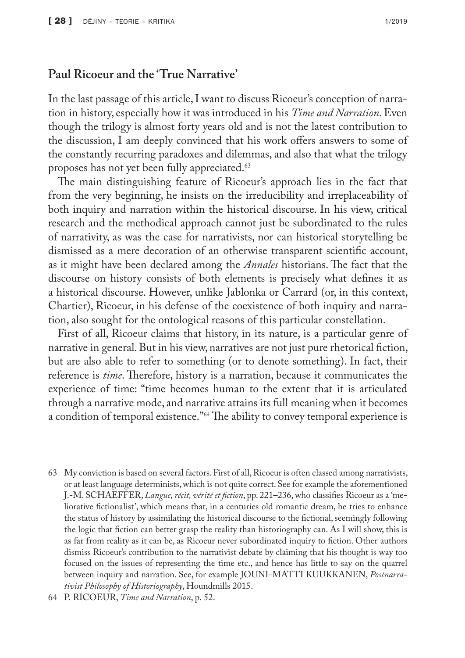### **Paul Ricoeur and the 'True Narrative'**

In the last passage of this article, I want to discuss Ricoeur's conception of narration in history, especially how it was introduced in his *Time and Narration*. Even though the trilogy is almost forty years old and is not the latest contribution to the discussion, I am deeply convinced that his work offers answers to some of the constantly recurring paradoxes and dilemmas, and also that what the trilogy proposes has not yet been fully appreciated.<sup>63</sup>

The main distinguishing feature of Ricoeur's approach lies in the fact that from the very beginning, he insists on the irreducibility and irreplaceability of both inquiry and narration within the historical discourse. In his view, critical research and the methodical approach cannot just be subordinated to the rules of narrativity, as was the case for narrativists, nor can historical storytelling be dismissed as a mere decoration of an otherwise transparent scientific account, as it might have been declared among the *Annales* historians. The fact that the discourse on history consists of both elements is precisely what defines it as a historical discourse. However, unlike Jablonka or Carrard (or, in this context, Chartier), Ricoeur, in his defense of the coexistence of both inquiry and narration, also sought for the ontological reasons of this particular constellation.

First of all, Ricoeur claims that history, in its nature, is a particular genre of narrative in general. But in his view, narratives are not just pure rhetorical fiction, but are also able to refer to something (or to denote something). In fact, their reference is *time*. Therefore, history is a narration, because it communicates the experience of time: "time becomes human to the extent that it is articulated through a narrative mode, and narrative attains its full meaning when it becomes a condition of temporal existence."64 The ability to convey temporal experience is

63 My conviction is based on several factors. First of all, Ricoeur is often classed among narrativists, or at least language determinists, which is not quite correct. See for example the aforementioned J.-M. SCHAEFFER, *Langue, récit, vérité et fiction*, pp. 221–236, who classifies Ricoeur as a 'meliorative fictionalist', which means that, in a centuries old romantic dream, he tries to enhance the status of history by assimilating the historical discourse to the fictional, seemingly following the logic that fiction can better grasp the reality than historiography can. As I will show, this is as far from reality as it can be, as Ricoeur never subordinated inquiry to fiction. Other authors dismiss Ricoeur's contribution to the narrativist debate by claiming that his thought is way too focused on the issues of representing the time etc., and hence has little to say on the quarrel between inquiry and narration. See, for example JOUNI-MATTI KUUKKANEN, *Postnarrativist Philosophy of Historiography*, Houndmills 2015.

<sup>64</sup> P. RICOEUR, *Time and Narration*, p. 52.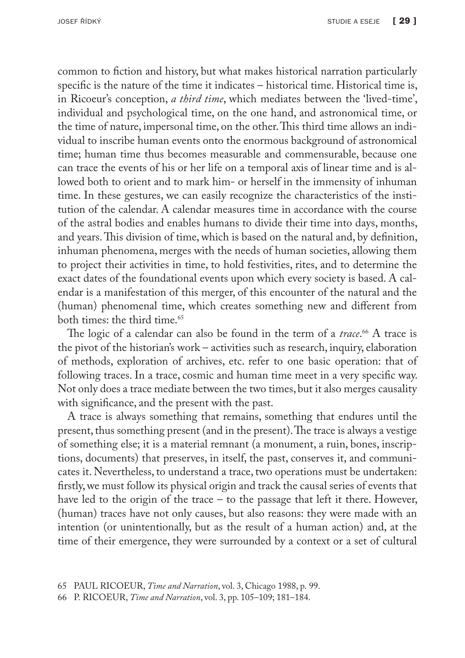common to fiction and history, but what makes historical narration particularly specific is the nature of the time it indicates – historical time. Historical time is, in Ricoeur's conception, *a third time*, which mediates between the 'lived-time', individual and psychological time, on the one hand, and astronomical time, or the time of nature, impersonal time, on the other. This third time allows an individual to inscribe human events onto the enormous background of astronomical time; human time thus becomes measurable and commensurable, because one can trace the events of his or her life on a temporal axis of linear time and is allowed both to orient and to mark him- or herself in the immensity of inhuman time. In these gestures, we can easily recognize the characteristics of the institution of the calendar. A calendar measures time in accordance with the course of the astral bodies and enables humans to divide their time into days, months, and years. This division of time, which is based on the natural and, by definition, inhuman phenomena, merges with the needs of human societies, allowing them to project their activities in time, to hold festivities, rites, and to determine the exact dates of the foundational events upon which every society is based. A calendar is a manifestation of this merger, of this encounter of the natural and the (human) phenomenal time, which creates something new and different from both times: the third time.<sup>65</sup>

The logic of a calendar can also be found in the term of a *trace*.<sup>66</sup> A trace is the pivot of the historian's work – activities such as research, inquiry, elaboration of methods, exploration of archives, etc. refer to one basic operation: that of following traces. In a trace, cosmic and human time meet in a very specific way. Not only does a trace mediate between the two times, but it also merges causality with significance, and the present with the past.

A trace is always something that remains, something that endures until the present, thus something present (and in the present). The trace is always a vestige of something else; it is a material remnant (a monument, a ruin, bones, inscriptions, documents) that preserves, in itself, the past, conserves it, and communicates it. Nevertheless, to understand a trace, two operations must be undertaken: firstly, we must follow its physical origin and track the causal series of events that have led to the origin of the trace – to the passage that left it there. However, (human) traces have not only causes, but also reasons: they were made with an intention (or unintentionally, but as the result of a human action) and, at the time of their emergence, they were surrounded by a context or a set of cultural

<sup>66</sup> P. RICOEUR, *Time and Narration*, vol. 3, pp. 105–109; 181–184.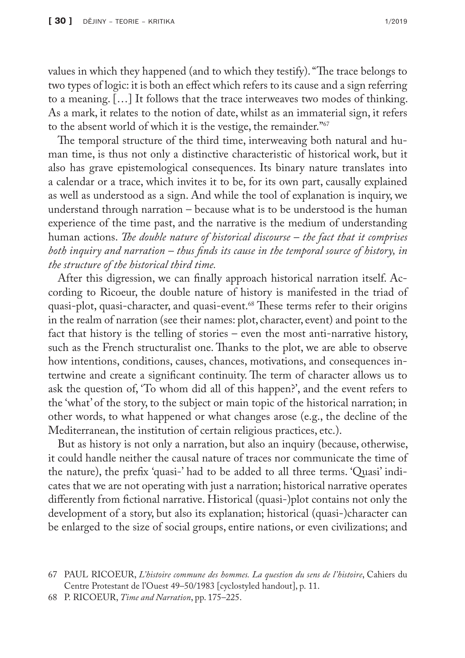values in which they happened (and to which they testify). "The trace belongs to two types of logic: it is both an effect which refers to its cause and a sign referring to a meaning. […] It follows that the trace interweaves two modes of thinking. As a mark, it relates to the notion of date, whilst as an immaterial sign, it refers to the absent world of which it is the vestige, the remainder."67

The temporal structure of the third time, interweaving both natural and human time, is thus not only a distinctive characteristic of historical work, but it also has grave epistemological consequences. Its binary nature translates into a calendar or a trace, which invites it to be, for its own part, causally explained as well as understood as a sign. And while the tool of explanation is inquiry, we understand through narration – because what is to be understood is the human experience of the time past, and the narrative is the medium of understanding human actions. *The double nature of historical discourse – the fact that it comprises both inquiry and narration – thus finds its cause in the temporal source of history, in the structure of the historical third time.*

After this digression, we can finally approach historical narration itself. According to Ricoeur, the double nature of history is manifested in the triad of quasi-plot, quasi-character, and quasi-event.<sup>68</sup> These terms refer to their origins in the realm of narration (see their names: plot, character, event) and point to the fact that history is the telling of stories – even the most anti-narrative history, such as the French structuralist one. Thanks to the plot, we are able to observe how intentions, conditions, causes, chances, motivations, and consequences intertwine and create a significant continuity. The term of character allows us to ask the question of, 'To whom did all of this happen?', and the event refers to the 'what' of the story, to the subject or main topic of the historical narration; in other words, to what happened or what changes arose (e.g., the decline of the Mediterranean, the institution of certain religious practices, etc.).

But as history is not only a narration, but also an inquiry (because, otherwise, it could handle neither the causal nature of traces nor communicate the time of the nature), the prefix 'quasi-' had to be added to all three terms. 'Quasi' indicates that we are not operating with just a narration; historical narrative operates differently from fictional narrative. Historical (quasi-)plot contains not only the development of a story, but also its explanation; historical (quasi-)character can be enlarged to the size of social groups, entire nations, or even civilizations; and

<sup>67</sup> PAUL RICOEUR, *L'histoire commune des hommes. La question du sens de l'histoire*, Cahiers du Centre Protestant de l'Ouest 49–50/1983 [cyclostyled handout], p. 11.

<sup>68</sup> P. RICOEUR, *Time and Narration*, pp. 175–225.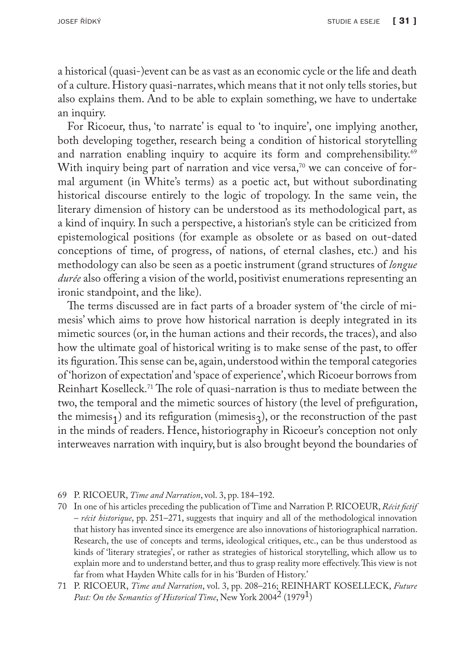a historical (quasi-)event can be as vast as an economic cycle or the life and death of a culture. History quasi-narrates, which means that it not only tells stories, but also explains them. And to be able to explain something, we have to undertake an inquiry.

For Ricoeur, thus, 'to narrate' is equal to 'to inquire', one implying another, both developing together, research being a condition of historical storytelling and narration enabling inquiry to acquire its form and comprehensibility.<sup>69</sup> With inquiry being part of narration and vice versa, $70$  we can conceive of formal argument (in White's terms) as a poetic act, but without subordinating historical discourse entirely to the logic of tropology. In the same vein, the literary dimension of history can be understood as its methodological part, as a kind of inquiry. In such a perspective, a historian's style can be criticized from epistemological positions (for example as obsolete or as based on out-dated conceptions of time, of progress, of nations, of eternal clashes, etc.) and his methodology can also be seen as a poetic instrument (grand structures of *longue durée* also offering a vision of the world, positivist enumerations representing an ironic standpoint, and the like).

The terms discussed are in fact parts of a broader system of 'the circle of mimesis' which aims to prove how historical narration is deeply integrated in its mimetic sources (or, in the human actions and their records, the traces), and also how the ultimate goal of historical writing is to make sense of the past, to offer its figuration. This sense can be, again, understood within the temporal categories of 'horizon of expectation' and 'space of experience', which Ricoeur borrows from Reinhart Koselleck.71 The role of quasi-narration is thus to mediate between the two, the temporal and the mimetic sources of history (the level of prefiguration, the mimesis<sub>1</sub>) and its refiguration (mimesis<sub>3</sub>), or the reconstruction of the past in the minds of readers. Hence, historiography in Ricoeur's conception not only interweaves narration with inquiry, but is also brought beyond the boundaries of

- 69 P. RICOEUR, *Time and Narration*, vol. 3, pp. 184–192.
- 70 In one of his articles preceding the publication of Time and Narration P. RICOEUR, *Récit fictif – récit historique*, pp. 251–271, suggests that inquiry and all of the methodological innovation that history has invented since its emergence are also innovations of historiographical narration. Research, the use of concepts and terms, ideological critiques, etc., can be thus understood as kinds of 'literary strategies', or rather as strategies of historical storytelling, which allow us to explain more and to understand better, and thus to grasp reality more effectively. This view is not far from what Hayden White calls for in his 'Burden of History.'
- 71 P. RICOEUR, *Time and Narration*, vol. 3, pp. 208–216; REINHART KOSELLECK, *Future*  Past: On the Semantics of Historical Time, New York 2004<sup>2</sup> (1979<sup>1</sup>)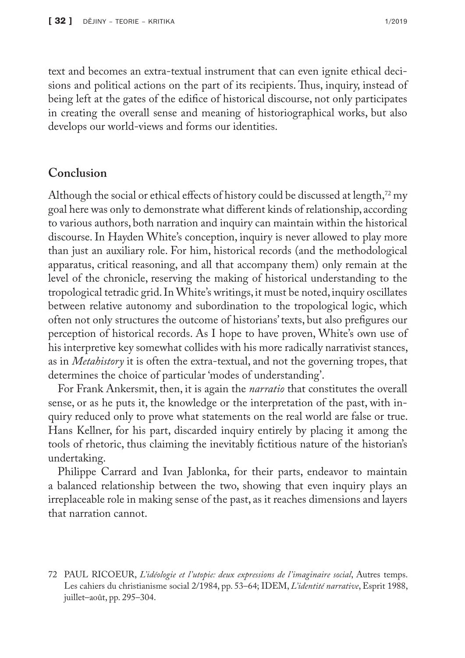text and becomes an extra-textual instrument that can even ignite ethical decisions and political actions on the part of its recipients. Thus, inquiry, instead of being left at the gates of the edifice of historical discourse, not only participates in creating the overall sense and meaning of historiographical works, but also develops our world-views and forms our identities.

### **Conclusion**

Although the social or ethical effects of history could be discussed at length,<sup>72</sup> my goal here was only to demonstrate what different kinds of relationship, according to various authors, both narration and inquiry can maintain within the historical discourse. In Hayden White's conception, inquiry is never allowed to play more than just an auxiliary role. For him, historical records (and the methodological apparatus, critical reasoning, and all that accompany them) only remain at the level of the chronicle, reserving the making of historical understanding to the tropological tetradic grid. In White's writings, it must be noted, inquiry oscillates between relative autonomy and subordination to the tropological logic, which often not only structures the outcome of historians' texts, but also prefigures our perception of historical records. As I hope to have proven, White's own use of his interpretive key somewhat collides with his more radically narrativist stances, as in *Metahistory* it is often the extra-textual, and not the governing tropes, that determines the choice of particular 'modes of understanding'.

For Frank Ankersmit, then, it is again the *narratio* that constitutes the overall sense, or as he puts it, the knowledge or the interpretation of the past, with inquiry reduced only to prove what statements on the real world are false or true. Hans Kellner, for his part, discarded inquiry entirely by placing it among the tools of rhetoric, thus claiming the inevitably fictitious nature of the historian's undertaking.

Philippe Carrard and Ivan Jablonka, for their parts, endeavor to maintain a balanced relationship between the two, showing that even inquiry plays an irreplaceable role in making sense of the past, as it reaches dimensions and layers that narration cannot.

<sup>72</sup> PAUL RICOEUR, *L'idéologie et l'utopie: deux expressions de l'imaginaire social*, Autres temps. Les cahiers du christianisme social 2/1984, pp. 53–64; IDEM, *L'identité narrative*, Esprit 1988, juillet–août, pp. 295–304.